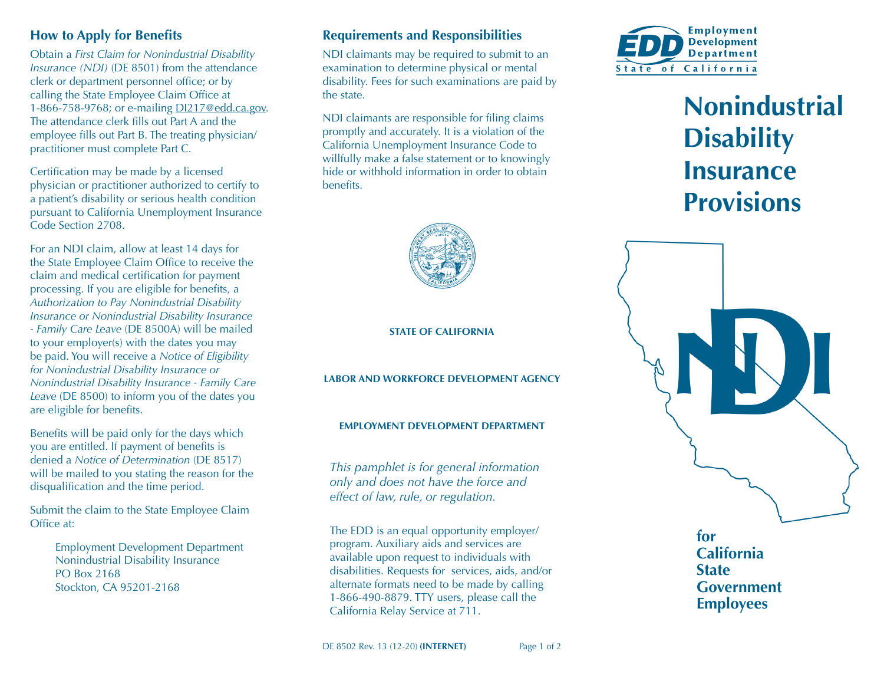#### **How to Apply for Benefits**

Obtain a *First Claim for Nonindustrial Disability Insurance (NDI)* (DE 8501) from the attendance clerk or department personnel office; or by calling the State Employee Claim Office at 1-866-758-9768; or e-mailing [DI217@edd.ca.gov.](mailto:DI217%40edd.ca.gov?subject=) The attendance clerk fills out Part A and the employee fills out Part B. The treating physician/ practitioner must complete Part C.

Certification may be made by a licensed physician or practitioner authorized to certify to a patient's disability or serious health condition pursuant to California Unemployment Insurance Code Section 2708.

For an NDI claim, allow at least 14 days for the State Employee Claim Office to receive the claim and medical certification for payment processing. If you are eligible for benefits, a *Authorization to Pay Nonindustrial Disability Insurance or Nonindustrial Disability Insurance - Family Care Leave* (DE 8500A) will be mailed to your employer(s) with the dates you may be paid. You will receive a *Notice of Eligibility for Nonindustrial Disability Insurance or Nonindustrial Disability Insurance - Family Care Leave* (DE 8500) to inform you of the dates you are eligible for benefits.

Benefits will be paid only for the days which you are entitled. If payment of benefits is denied a *Notice of Determination* (DE 8517) will be mailed to you stating the reason for the disqualification and the time period.

Submit the claim to the State Employee Claim Office at:

> Employment Development Department Nonindustrial Disability Insurance PO Box 2168 Stockton, CA 95201-2168

## **Requirements and Responsibilities**

NDI claimants may be required to submit to an examination to determine physical or mental disability. Fees for such examinations are paid by the state.

NDI claimants are responsible for filing claims promptly and accurately. It is a violation of the California Unemployment Insurance Code to willfully make a false statement or to knowingly hide or withhold information in order to obtain benefits.



#### **STATE OF CALIFORNIA**

**LABOR AND WORKFORCE DEVELOPMENT AGENCY**

#### **EMPLOYMENT DEVELOPMENT DEPARTMENT**

*This pamphlet is for general information only and does not have the force and effect of law, rule, or regulation.*

The EDD is an equal opportunity employer/ program. Auxiliary aids and services are available upon request to individuals with disabilities. Requests for services, aids, and/or alternate formats need to be made by calling 1-866-490-8879. TTY users, please call the California Relay Service at 711.



# **Nonindustrial Disability Insurance Provisions**



**for California State Government Employees**